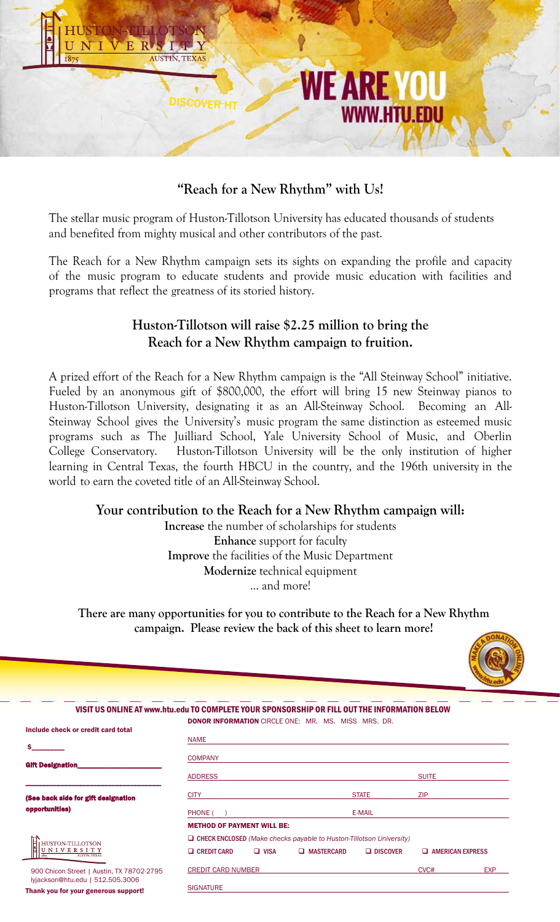

# **"Reach for a New Rhythm" with Us!**

The stellar music program of Huston-Tillotson University has educated thousands of students and benefited from mighty musical and other contributors of the past.

The Reach for a New Rhythm campaign sets its sights on expanding the profile and capacity of the music program to educate students and provide music education with facilities and programs that reflect the greatness of its storied history.

### **Huston-Tillotson will raise \$2.25 million to bring the Reach for a New Rhythm campaign to fruition.**

A prized effort of the Reach for a New Rhythm campaign is the "All Steinway School" initiative. Fueled by an anonymous gift of \$800,000, the effort will bring 15 new Steinway pianos to Huston-Tillotson University, designating it as an All-Steinway School. Becoming an All-Steinway School gives the University's music program the same distinction as esteemed music programs such as The Juilliard School, Yale University School of Music, and Oberlin College Conservatory. Huston-Tillotson University will be the only institution of higher learning in Central Texas, the fourth HBCU in the country, and the 196th university in the world to earn the coveted title of an All-Steinway School.

#### **Your contribution to the Reach for a New Rhythm campaign will:**

**Increase** the number of scholarships for students **Enhance** support for faculty **Improve** the facilities of the Music Department **Modernize** technical equipment ... and more!

**There are many opportunities for you to contribute to the Reach for a New Rhythm campaign. Please review the back of this sheet to learn more!** 



| VISIT US ONLINE AT www.htu.edu TO COMPLETE YOUR SPONSORSHIP OR FILL OUT THE INFORMATION BELOW |                                                                            |             |                                                            |                 |                         |            |
|-----------------------------------------------------------------------------------------------|----------------------------------------------------------------------------|-------------|------------------------------------------------------------|-----------------|-------------------------|------------|
| Include check or credit card total                                                            |                                                                            |             | <b>DONOR INFORMATION</b> CIRCLE ONE: MR. MS. MISS MRS. DR. |                 |                         |            |
|                                                                                               | <b>NAME</b>                                                                |             |                                                            |                 |                         |            |
| <b>Gift Designation</b>                                                                       | <b>COMPANY</b>                                                             |             |                                                            |                 |                         |            |
|                                                                                               | <b>ADDRESS</b>                                                             |             |                                                            |                 | <b>SUITE</b>            |            |
| (See back side for gift designation<br>opportunities)                                         | <b>CITY</b>                                                                |             |                                                            | <b>STATE</b>    | <b>ZIP</b>              |            |
|                                                                                               | PHONE (                                                                    |             |                                                            | E-MAIL          |                         |            |
|                                                                                               | <b>METHOD OF PAYMENT WILL BE:</b>                                          |             |                                                            |                 |                         |            |
| HUSTON-TILLOTSON                                                                              | $\Box$ CHECK ENCLOSED (Make checks payable to Huston-Tillotson University) |             |                                                            |                 |                         |            |
| UNIVERSITY<br>1875<br><b>AUSTIN. TEXAS</b>                                                    | $\Box$ CREDIT CARD                                                         | $\Box$ VISA | $\Box$ MASTERCARD                                          | $\Box$ DISCOVER | $\Box$ AMERICAN EXPRESS |            |
| 900 Chicon Street   Austin, TX 78702-2795<br>lyjackson@htu.edu   512.505.3006                 | <b>CREDIT CARD NUMBER</b>                                                  |             |                                                            |                 | CVC#                    | <b>EXP</b> |
| Thoule you for your donorous sunneed                                                          | <b>SIGNATURE</b>                                                           |             |                                                            |                 |                         |            |

Thank you for your generous support!